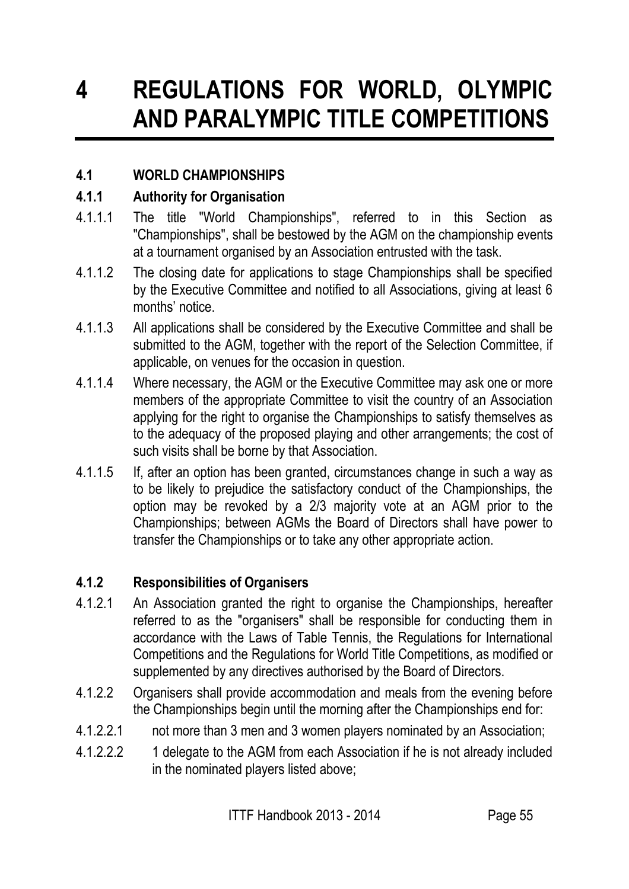# **4 REGULATIONS FOR WORLD, OLYMPIC AND PARALYMPIC TITLE COMPETITIONS**

# **4.1 WORLD CHAMPIONSHIPS**

## **4.1.1 Authority for Organisation**

- 4.1.1.1 The title "World Championships", referred to in this Section as "Championships", shall be bestowed by the AGM on the championship events at a tournament organised by an Association entrusted with the task.
- 4.1.1.2 The closing date for applications to stage Championships shall be specified by the Executive Committee and notified to all Associations, giving at least 6 months' notice.
- 4.1.1.3 All applications shall be considered by the Executive Committee and shall be submitted to the AGM, together with the report of the Selection Committee, if applicable, on venues for the occasion in question.
- 4.1.1.4 Where necessary, the AGM or the Executive Committee may ask one or more members of the appropriate Committee to visit the country of an Association applying for the right to organise the Championships to satisfy themselves as to the adequacy of the proposed playing and other arrangements; the cost of such visits shall be borne by that Association.
- 4.1.1.5 If, after an option has been granted, circumstances change in such a way as to be likely to prejudice the satisfactory conduct of the Championships, the option may be revoked by a 2/3 majority vote at an AGM prior to the Championships; between AGMs the Board of Directors shall have power to transfer the Championships or to take any other appropriate action.

# **4.1.2 Responsibilities of Organisers**

- 4.1.2.1 An Association granted the right to organise the Championships, hereafter referred to as the "organisers" shall be responsible for conducting them in accordance with the Laws of Table Tennis, the Regulations for International Competitions and the Regulations for World Title Competitions, as modified or supplemented by any directives authorised by the Board of Directors.
- 4.1.2.2 Organisers shall provide accommodation and meals from the evening before the Championships begin until the morning after the Championships end for:
- 4.1.2.2.1 not more than 3 men and 3 women players nominated by an Association;
- 4.1.2.2.2 1 delegate to the AGM from each Association if he is not already included in the nominated players listed above;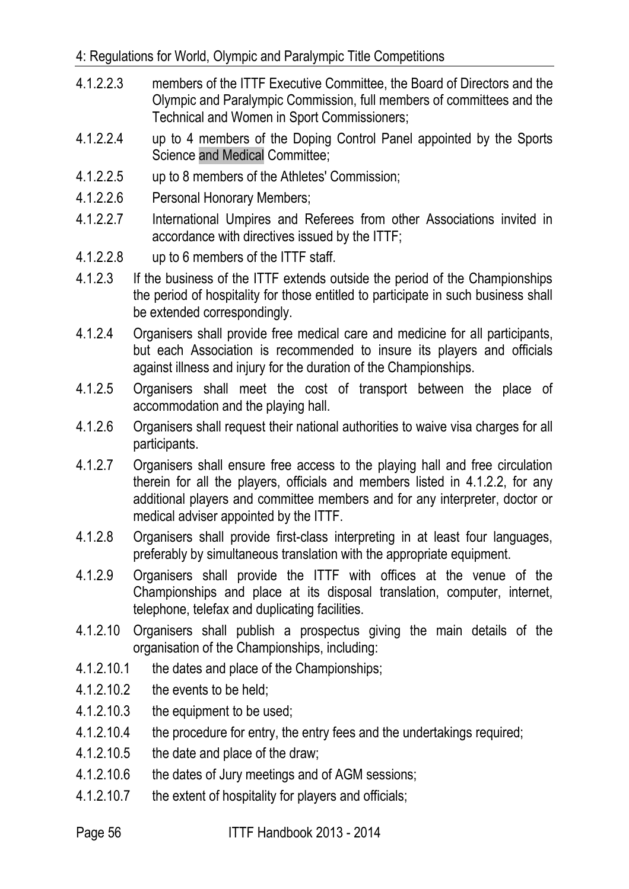- 4.1.2.2.3 members of the ITTF Executive Committee, the Board of Directors and the Olympic and Paralympic Commission, full members of committees and the Technical and Women in Sport Commissioners;
- 4.1.2.2.4 up to 4 members of the Doping Control Panel appointed by the Sports Science and Medical Committee;
- 4.1.2.2.5 up to 8 members of the Athletes' Commission;
- 4.1.2.2.6 Personal Honorary Members;
- 4.1.2.2.7 International Umpires and Referees from other Associations invited in accordance with directives issued by the ITTF;
- 4.1.2.2.8 up to 6 members of the ITTF staff.
- 4.1.2.3 If the business of the ITTF extends outside the period of the Championships the period of hospitality for those entitled to participate in such business shall be extended correspondingly.
- 4.1.2.4 Organisers shall provide free medical care and medicine for all participants, but each Association is recommended to insure its players and officials against illness and injury for the duration of the Championships.
- 4.1.2.5 Organisers shall meet the cost of transport between the place of accommodation and the playing hall.
- 4.1.2.6 Organisers shall request their national authorities to waive visa charges for all participants.
- 4.1.2.7 Organisers shall ensure free access to the playing hall and free circulation therein for all the players, officials and members listed in 4.1.2.2, for any additional players and committee members and for any interpreter, doctor or medical adviser appointed by the ITTF.
- 4.1.2.8 Organisers shall provide first-class interpreting in at least four languages, preferably by simultaneous translation with the appropriate equipment.
- 4.1.2.9 Organisers shall provide the ITTF with offices at the venue of the Championships and place at its disposal translation, computer, internet, telephone, telefax and duplicating facilities.
- 4.1.2.10 Organisers shall publish a prospectus giving the main details of the organisation of the Championships, including:
- 4.1.2.10.1 the dates and place of the Championships;
- 4.1.2.10.2 the events to be held;
- 4.1.2.10.3 the equipment to be used;
- 4.1.2.10.4 the procedure for entry, the entry fees and the undertakings required;
- 4.1.2.10.5 the date and place of the draw;
- 4.1.2.10.6 the dates of Jury meetings and of AGM sessions;
- 4.1.2.10.7 the extent of hospitality for players and officials;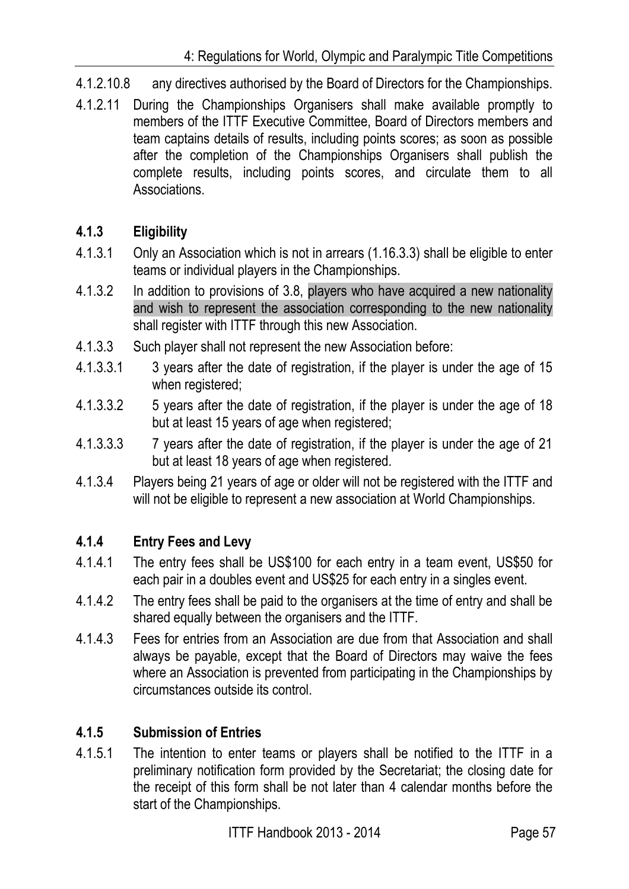- 4.1.2.10.8 any directives authorised by the Board of Directors for the Championships.
- 4.1.2.11 During the Championships Organisers shall make available promptly to members of the ITTF Executive Committee, Board of Directors members and team captains details of results, including points scores; as soon as possible after the completion of the Championships Organisers shall publish the complete results, including points scores, and circulate them to all Associations.

# **4.1.3 Eligibility**

- 4.1.3.1 Only an Association which is not in arrears (1.16.3.3) shall be eligible to enter teams or individual players in the Championships.
- 4.1.3.2 In addition to provisions of 3.8, players who have acquired a new nationality and wish to represent the association corresponding to the new nationality shall register with ITTF through this new Association.
- 4.1.3.3 Such player shall not represent the new Association before:
- 4.1.3.3.1 3 years after the date of registration, if the player is under the age of 15 when registered;
- 4.1.3.3.2 5 years after the date of registration, if the player is under the age of 18 but at least 15 years of age when registered;
- 4.1.3.3.3 7 years after the date of registration, if the player is under the age of 21 but at least 18 years of age when registered.
- 4.1.3.4 Players being 21 years of age or older will not be registered with the ITTF and will not be eligible to represent a new association at World Championships.

# **4.1.4 Entry Fees and Levy**

- 4.1.4.1 The entry fees shall be US\$100 for each entry in a team event, US\$50 for each pair in a doubles event and US\$25 for each entry in a singles event.
- 4.1.4.2 The entry fees shall be paid to the organisers at the time of entry and shall be shared equally between the organisers and the ITTF.
- 4.1.4.3 Fees for entries from an Association are due from that Association and shall always be payable, except that the Board of Directors may waive the fees where an Association is prevented from participating in the Championships by circumstances outside its control.

# **4.1.5 Submission of Entries**

4.1.5.1 The intention to enter teams or players shall be notified to the ITTF in a preliminary notification form provided by the Secretariat; the closing date for the receipt of this form shall be not later than 4 calendar months before the start of the Championships.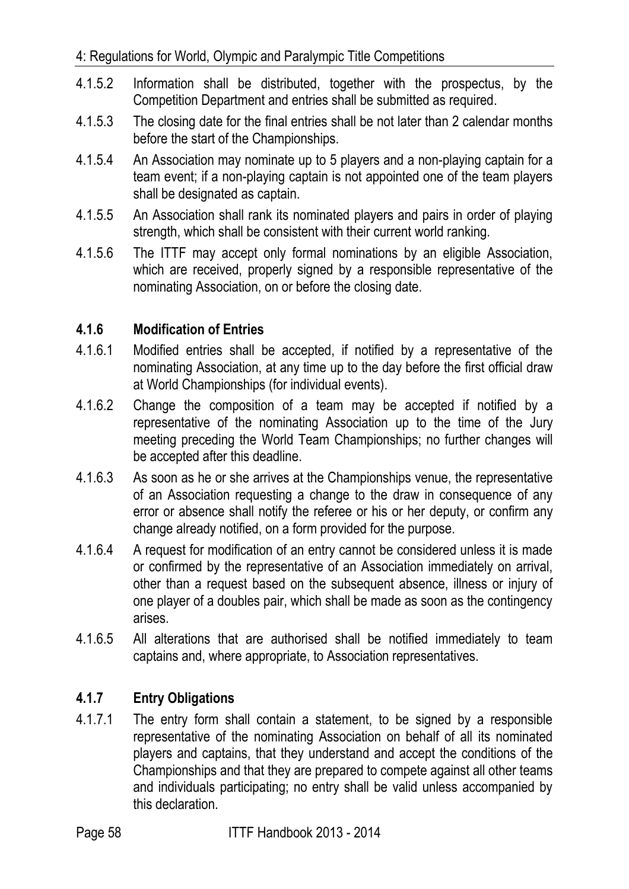- 4.1.5.2 Information shall be distributed, together with the prospectus, by the Competition Department and entries shall be submitted as required.
- 4.1.5.3 The closing date for the final entries shall be not later than 2 calendar months before the start of the Championships.
- 4.1.5.4 An Association may nominate up to 5 players and a non-playing captain for a team event; if a non-playing captain is not appointed one of the team players shall be designated as captain.
- 4.1.5.5 An Association shall rank its nominated players and pairs in order of playing strength, which shall be consistent with their current world ranking.
- 4.1.5.6 The ITTF may accept only formal nominations by an eligible Association, which are received, properly signed by a responsible representative of the nominating Association, on or before the closing date.

# **4.1.6 Modification of Entries**

- 4.1.6.1 Modified entries shall be accepted, if notified by a representative of the nominating Association, at any time up to the day before the first official draw at World Championships (for individual events).
- 4.1.6.2 Change the composition of a team may be accepted if notified by a representative of the nominating Association up to the time of the Jury meeting preceding the World Team Championships; no further changes will be accepted after this deadline.
- 4.1.6.3 As soon as he or she arrives at the Championships venue, the representative of an Association requesting a change to the draw in consequence of any error or absence shall notify the referee or his or her deputy, or confirm any change already notified, on a form provided for the purpose.
- 4.1.6.4 A request for modification of an entry cannot be considered unless it is made or confirmed by the representative of an Association immediately on arrival, other than a request based on the subsequent absence, illness or injury of one player of a doubles pair, which shall be made as soon as the contingency arises.
- 4.1.6.5 All alterations that are authorised shall be notified immediately to team captains and, where appropriate, to Association representatives.

# **4.1.7 Entry Obligations**

4.1.7.1 The entry form shall contain a statement, to be signed by a responsible representative of the nominating Association on behalf of all its nominated players and captains, that they understand and accept the conditions of the Championships and that they are prepared to compete against all other teams and individuals participating; no entry shall be valid unless accompanied by this declaration.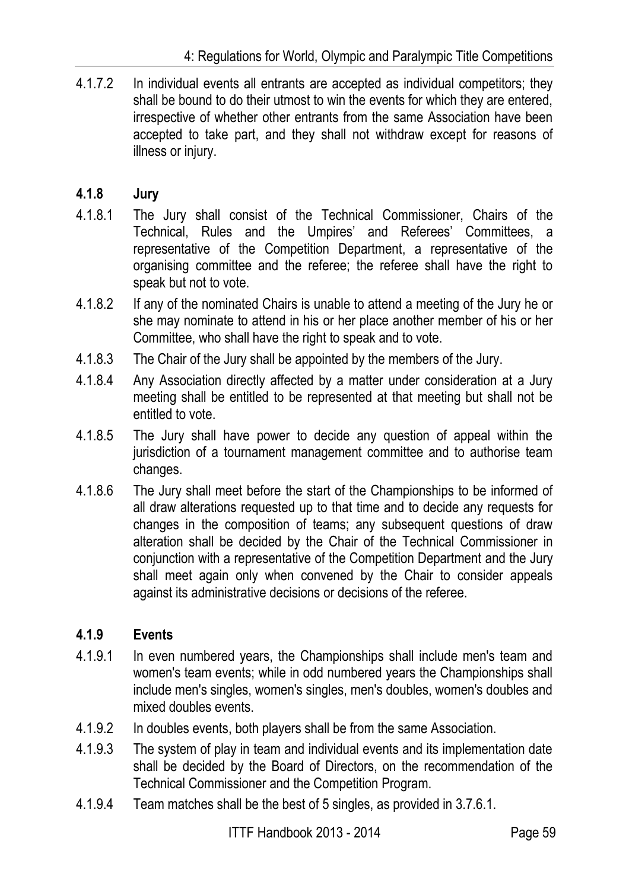4.1.7.2 In individual events all entrants are accepted as individual competitors; they shall be bound to do their utmost to win the events for which they are entered, irrespective of whether other entrants from the same Association have been accepted to take part, and they shall not withdraw except for reasons of illness or injury.

# **4.1.8 Jury**

- 4.1.8.1 The Jury shall consist of the Technical Commissioner, Chairs of the Technical, Rules and the Umpires' and Referees' Committees, a representative of the Competition Department, a representative of the organising committee and the referee; the referee shall have the right to speak but not to vote.
- 4.1.8.2 If any of the nominated Chairs is unable to attend a meeting of the Jury he or she may nominate to attend in his or her place another member of his or her Committee, who shall have the right to speak and to vote.
- 4.1.8.3 The Chair of the Jury shall be appointed by the members of the Jury.
- 4.1.8.4 Any Association directly affected by a matter under consideration at a Jury meeting shall be entitled to be represented at that meeting but shall not be entitled to vote.
- 4.1.8.5 The Jury shall have power to decide any question of appeal within the jurisdiction of a tournament management committee and to authorise team changes.
- 4.1.8.6 The Jury shall meet before the start of the Championships to be informed of all draw alterations requested up to that time and to decide any requests for changes in the composition of teams; any subsequent questions of draw alteration shall be decided by the Chair of the Technical Commissioner in conjunction with a representative of the Competition Department and the Jury shall meet again only when convened by the Chair to consider appeals against its administrative decisions or decisions of the referee.

# **4.1.9 Events**

- 4.1.9.1 In even numbered years, the Championships shall include men's team and women's team events; while in odd numbered years the Championships shall include men's singles, women's singles, men's doubles, women's doubles and mixed doubles events.
- 4.1.9.2 In doubles events, both players shall be from the same Association.
- 4.1.9.3 The system of play in team and individual events and its implementation date shall be decided by the Board of Directors, on the recommendation of the Technical Commissioner and the Competition Program.
- 4.1.9.4 Team matches shall be the best of 5 singles, as provided in 3.7.6.1.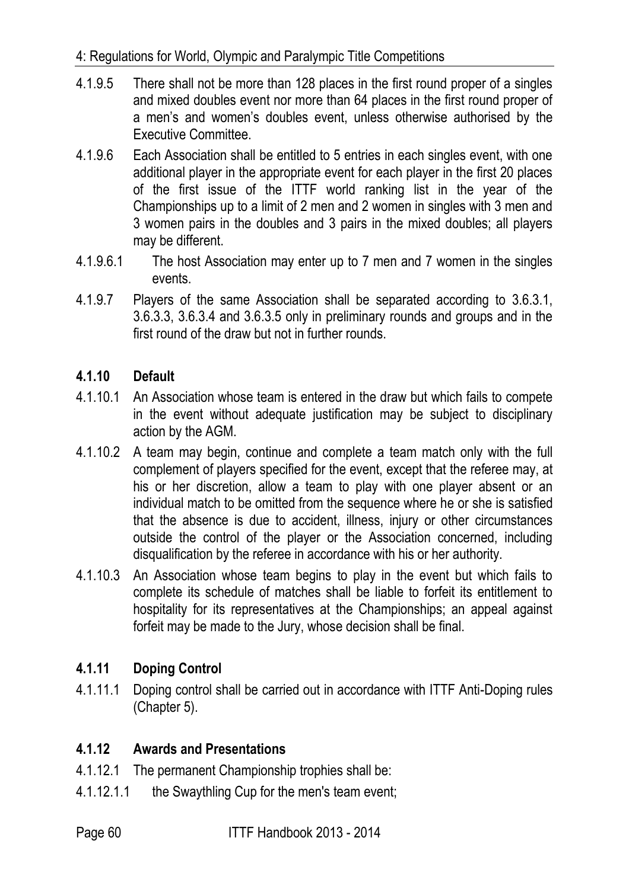- 4.1.9.5 There shall not be more than 128 places in the first round proper of a singles and mixed doubles event nor more than 64 places in the first round proper of a men's and women's doubles event, unless otherwise authorised by the Executive Committee.
- 4.1.9.6 Each Association shall be entitled to 5 entries in each singles event, with one additional player in the appropriate event for each player in the first 20 places of the first issue of the ITTF world ranking list in the year of the Championships up to a limit of 2 men and 2 women in singles with 3 men and 3 women pairs in the doubles and 3 pairs in the mixed doubles; all players may be different.
- 4.1.9.6.1 The host Association may enter up to 7 men and 7 women in the singles events.
- 4.1.9.7 Players of the same Association shall be separated according to 3.6.3.1, 3.6.3.3, 3.6.3.4 and 3.6.3.5 only in preliminary rounds and groups and in the first round of the draw but not in further rounds.

# **4.1.10 Default**

- 4.1.10.1 An Association whose team is entered in the draw but which fails to compete in the event without adequate justification may be subject to disciplinary action by the AGM.
- 4.1.10.2 A team may begin, continue and complete a team match only with the full complement of players specified for the event, except that the referee may, at his or her discretion, allow a team to play with one player absent or an individual match to be omitted from the sequence where he or she is satisfied that the absence is due to accident, illness, injury or other circumstances outside the control of the player or the Association concerned, including disqualification by the referee in accordance with his or her authority.
- 4.1.10.3 An Association whose team begins to play in the event but which fails to complete its schedule of matches shall be liable to forfeit its entitlement to hospitality for its representatives at the Championships; an appeal against forfeit may be made to the Jury, whose decision shall be final.

# **4.1.11 Doping Control**

4.1.11.1 Doping control shall be carried out in accordance with ITTF Anti-Doping rules (Chapter 5).

## **4.1.12 Awards and Presentations**

- 4.1.12.1 The permanent Championship trophies shall be:
- 4.1.12.1.1 the Swaythling Cup for the men's team event;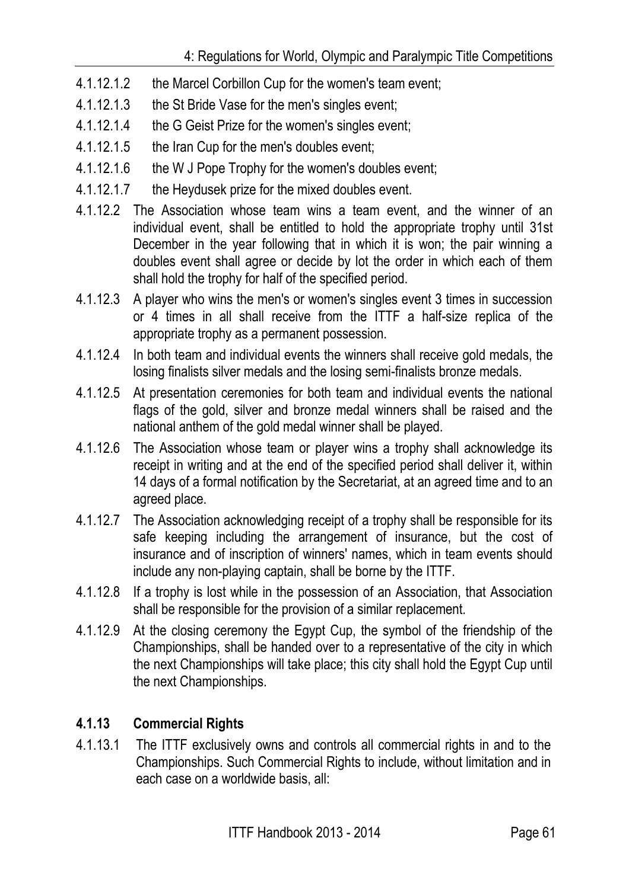- 4.1.12.1.2 the Marcel Corbillon Cup for the women's team event;
- 4.1.12.1.3 the St Bride Vase for the men's singles event;
- 4.1.12.1.4 the G Geist Prize for the women's singles event;
- 4.1.12.1.5 the Iran Cup for the men's doubles event;
- 4.1.12.1.6 the W J Pope Trophy for the women's doubles event;
- 4.1.12.1.7 the Heydusek prize for the mixed doubles event.
- 4.1.12.2 The Association whose team wins a team event, and the winner of an individual event, shall be entitled to hold the appropriate trophy until 31st December in the year following that in which it is won; the pair winning a doubles event shall agree or decide by lot the order in which each of them shall hold the trophy for half of the specified period.
- 4.1.12.3 A player who wins the men's or women's singles event 3 times in succession or 4 times in all shall receive from the ITTF a half-size replica of the appropriate trophy as a permanent possession.
- 4.1.12.4 In both team and individual events the winners shall receive gold medals, the losing finalists silver medals and the losing semi-finalists bronze medals.
- 4.1.12.5 At presentation ceremonies for both team and individual events the national flags of the gold, silver and bronze medal winners shall be raised and the national anthem of the gold medal winner shall be played.
- 4.1.12.6 The Association whose team or player wins a trophy shall acknowledge its receipt in writing and at the end of the specified period shall deliver it, within 14 days of a formal notification by the Secretariat, at an agreed time and to an agreed place.
- 4.1.12.7 The Association acknowledging receipt of a trophy shall be responsible for its safe keeping including the arrangement of insurance, but the cost of insurance and of inscription of winners' names, which in team events should include any non-playing captain, shall be borne by the ITTF.
- 4.1.12.8 If a trophy is lost while in the possession of an Association, that Association shall be responsible for the provision of a similar replacement.
- 4.1.12.9 At the closing ceremony the Egypt Cup, the symbol of the friendship of the Championships, shall be handed over to a representative of the city in which the next Championships will take place; this city shall hold the Egypt Cup until the next Championships.

# **4.1.13 Commercial Rights**

4.1.13.1 The ITTF exclusively owns and controls all commercial rights in and to the Championships. Such Commercial Rights to include, without limitation and in each case on a worldwide basis, all: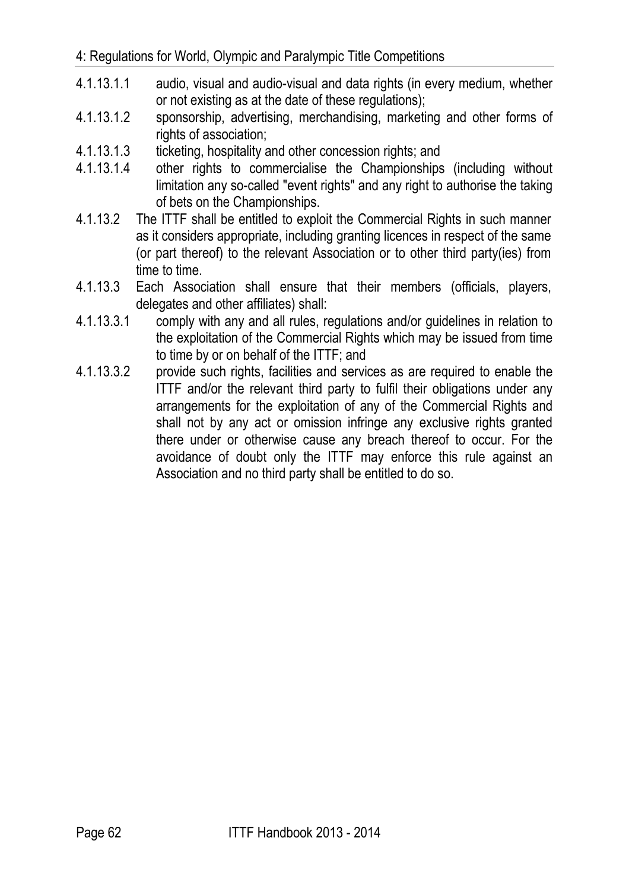- 4.1.13.1.1 audio, visual and audio-visual and data rights (in every medium, whether or not existing as at the date of these regulations);
- 4.1.13.1.2 sponsorship, advertising, merchandising, marketing and other forms of rights of association;
- 4.1.13.1.3 ticketing, hospitality and other concession rights; and
- 4.1.13.1.4 other rights to commercialise the Championships (including without limitation any so-called "event rights" and any right to authorise the taking of bets on the Championships.
- 4.1.13.2 The ITTF shall be entitled to exploit the Commercial Rights in such manner as it considers appropriate, including granting licences in respect of the same (or part thereof) to the relevant Association or to other third party(ies) from time to time.
- 4.1.13.3 Each Association shall ensure that their members (officials, players, delegates and other affiliates) shall:
- 4.1.13.3.1 comply with any and all rules, regulations and/or guidelines in relation to the exploitation of the Commercial Rights which may be issued from time to time by or on behalf of the ITTF; and
- 4.1.13.3.2 provide such rights, facilities and services as are required to enable the ITTF and/or the relevant third party to fulfil their obligations under any arrangements for the exploitation of any of the Commercial Rights and shall not by any act or omission infringe any exclusive rights granted there under or otherwise cause any breach thereof to occur. For the avoidance of doubt only the ITTF may enforce this rule against an Association and no third party shall be entitled to do so.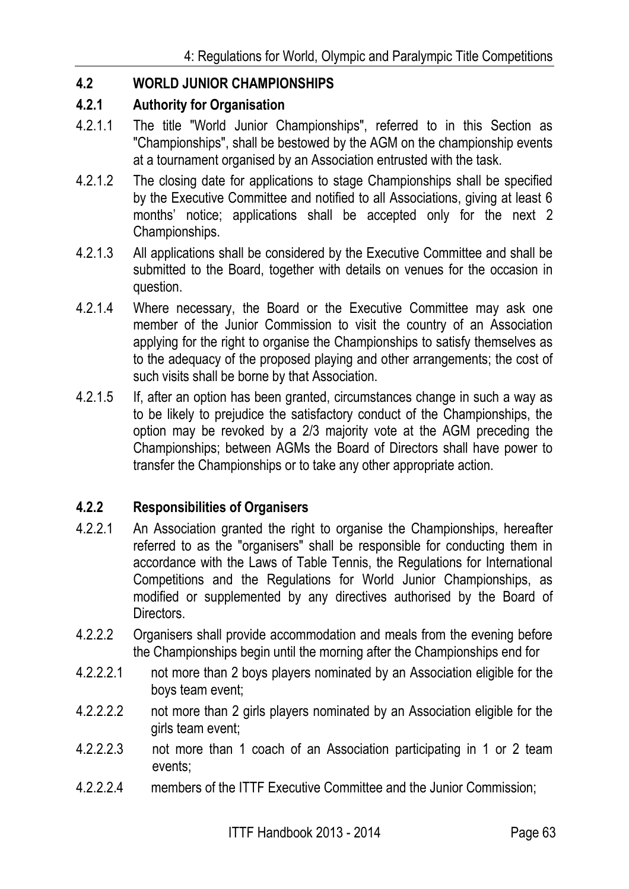# **4.2 WORLD JUNIOR CHAMPIONSHIPS**

#### **4.2.1 Authority for Organisation**

- 4.2.1.1 The title "World Junior Championships", referred to in this Section as "Championships", shall be bestowed by the AGM on the championship events at a tournament organised by an Association entrusted with the task.
- 4.2.1.2 The closing date for applications to stage Championships shall be specified by the Executive Committee and notified to all Associations, giving at least 6 months' notice; applications shall be accepted only for the next 2 Championships.
- 4.2.1.3 All applications shall be considered by the Executive Committee and shall be submitted to the Board, together with details on venues for the occasion in question.
- 4.2.1.4 Where necessary, the Board or the Executive Committee may ask one member of the Junior Commission to visit the country of an Association applying for the right to organise the Championships to satisfy themselves as to the adequacy of the proposed playing and other arrangements; the cost of such visits shall be borne by that Association.
- 4.2.1.5 If, after an option has been granted, circumstances change in such a way as to be likely to prejudice the satisfactory conduct of the Championships, the option may be revoked by a 2/3 majority vote at the AGM preceding the Championships; between AGMs the Board of Directors shall have power to transfer the Championships or to take any other appropriate action.

## **4.2.2 Responsibilities of Organisers**

- 4.2.2.1 An Association granted the right to organise the Championships, hereafter referred to as the "organisers" shall be responsible for conducting them in accordance with the Laws of Table Tennis, the Regulations for International Competitions and the Regulations for World Junior Championships, as modified or supplemented by any directives authorised by the Board of Directors.
- 4.2.2.2 Organisers shall provide accommodation and meals from the evening before the Championships begin until the morning after the Championships end for
- 4.2.2.2.1 not more than 2 boys players nominated by an Association eligible for the boys team event;
- 4.2.2.2.2 not more than 2 girls players nominated by an Association eligible for the girls team event;
- 4.2.2.2.3 not more than 1 coach of an Association participating in 1 or 2 team events;
- 4.2.2.2.4 members of the ITTF Executive Committee and the Junior Commission;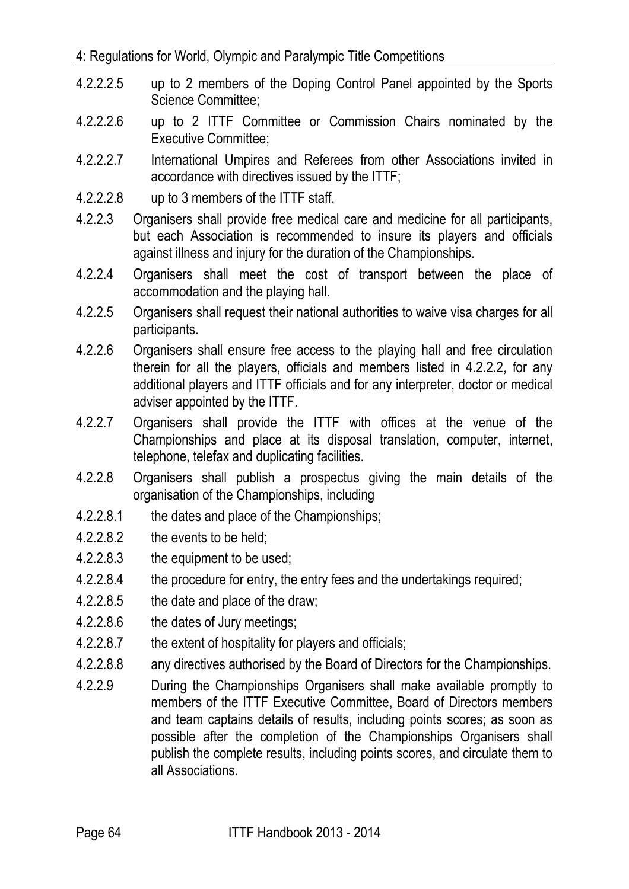- 4.2.2.2.5 up to 2 members of the Doping Control Panel appointed by the Sports Science Committee;
- 4.2.2.2.6 up to 2 ITTF Committee or Commission Chairs nominated by the Executive Committee;
- 4.2.2.2.7 International Umpires and Referees from other Associations invited in accordance with directives issued by the ITTF;
- 4.2.2.2.8 up to 3 members of the ITTF staff.
- 4.2.2.3 Organisers shall provide free medical care and medicine for all participants, but each Association is recommended to insure its players and officials against illness and injury for the duration of the Championships.
- 4.2.2.4 Organisers shall meet the cost of transport between the place of accommodation and the playing hall.
- 4.2.2.5 Organisers shall request their national authorities to waive visa charges for all participants.
- 4.2.2.6 Organisers shall ensure free access to the playing hall and free circulation therein for all the players, officials and members listed in 4.2.2.2, for any additional players and ITTF officials and for any interpreter, doctor or medical adviser appointed by the ITTF.
- 4.2.2.7 Organisers shall provide the ITTF with offices at the venue of the Championships and place at its disposal translation, computer, internet, telephone, telefax and duplicating facilities.
- 4.2.2.8 Organisers shall publish a prospectus giving the main details of the organisation of the Championships, including
- 4.2.2.8.1 the dates and place of the Championships;
- 4.2.2.8.2 the events to be held;
- 4.2.2.8.3 the equipment to be used;
- 4.2.2.8.4 the procedure for entry, the entry fees and the undertakings required;
- 4.2.2.8.5 the date and place of the draw;
- 4.2.2.8.6 the dates of Jury meetings;
- 4.2.2.8.7 the extent of hospitality for players and officials;
- 4.2.2.8.8 any directives authorised by the Board of Directors for the Championships.
- 4.2.2.9 During the Championships Organisers shall make available promptly to members of the ITTF Executive Committee, Board of Directors members and team captains details of results, including points scores; as soon as possible after the completion of the Championships Organisers shall publish the complete results, including points scores, and circulate them to all Associations.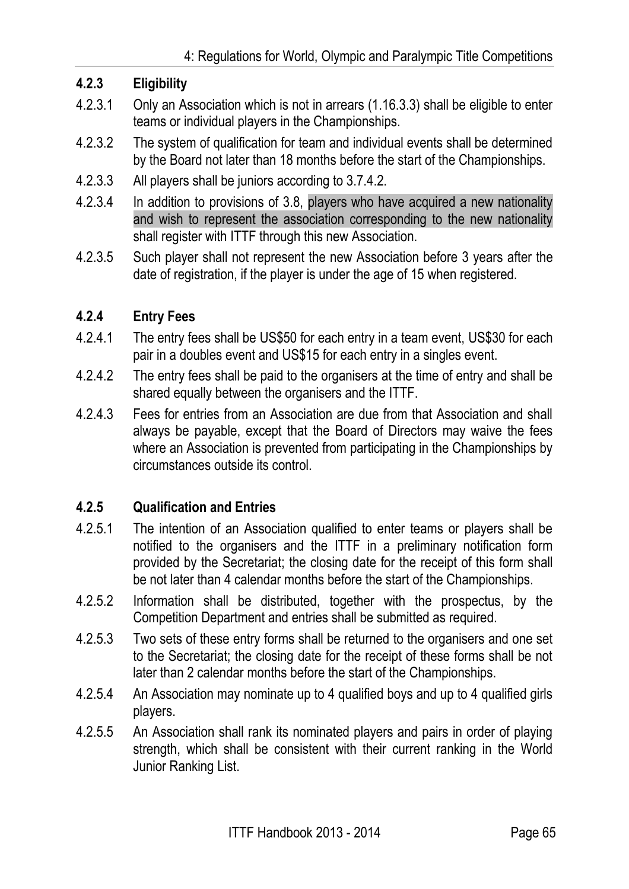## **4.2.3 Eligibility**

- 4.2.3.1 Only an Association which is not in arrears (1.16.3.3) shall be eligible to enter teams or individual players in the Championships.
- 4.2.3.2 The system of qualification for team and individual events shall be determined by the Board not later than 18 months before the start of the Championships.
- 4.2.3.3 All players shall be juniors according to 3.7.4.2.
- 4.2.3.4 In addition to provisions of 3.8, players who have acquired a new nationality and wish to represent the association corresponding to the new nationality shall register with ITTF through this new Association.
- 4.2.3.5 Such player shall not represent the new Association before 3 years after the date of registration, if the player is under the age of 15 when registered.

## **4.2.4 Entry Fees**

- 4.2.4.1 The entry fees shall be US\$50 for each entry in a team event, US\$30 for each pair in a doubles event and US\$15 for each entry in a singles event.
- 4.2.4.2 The entry fees shall be paid to the organisers at the time of entry and shall be shared equally between the organisers and the ITTF.
- 4.2.4.3 Fees for entries from an Association are due from that Association and shall always be payable, except that the Board of Directors may waive the fees where an Association is prevented from participating in the Championships by circumstances outside its control.

## **4.2.5 Qualification and Entries**

- 4.2.5.1 The intention of an Association qualified to enter teams or players shall be notified to the organisers and the ITTF in a preliminary notification form provided by the Secretariat; the closing date for the receipt of this form shall be not later than 4 calendar months before the start of the Championships.
- 4.2.5.2 Information shall be distributed, together with the prospectus, by the Competition Department and entries shall be submitted as required.
- 4.2.5.3 Two sets of these entry forms shall be returned to the organisers and one set to the Secretariat; the closing date for the receipt of these forms shall be not later than 2 calendar months before the start of the Championships.
- 4.2.5.4 An Association may nominate up to 4 qualified boys and up to 4 qualified girls players.
- 4.2.5.5 An Association shall rank its nominated players and pairs in order of playing strength, which shall be consistent with their current ranking in the World Junior Ranking List.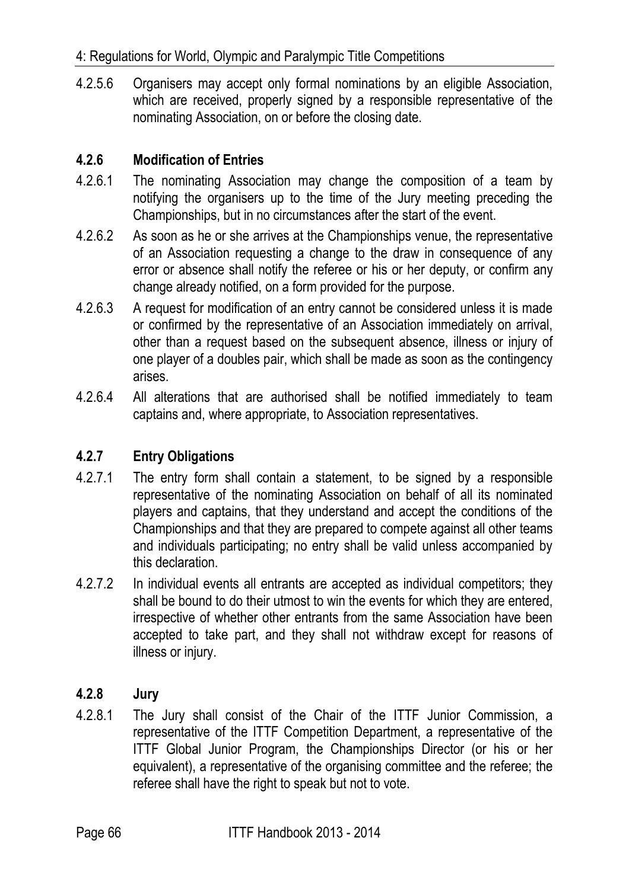4.2.5.6 Organisers may accept only formal nominations by an eligible Association, which are received, properly signed by a responsible representative of the nominating Association, on or before the closing date.

# **4.2.6 Modification of Entries**

- 4.2.6.1 The nominating Association may change the composition of a team by notifying the organisers up to the time of the Jury meeting preceding the Championships, but in no circumstances after the start of the event.
- 4.2.6.2 As soon as he or she arrives at the Championships venue, the representative of an Association requesting a change to the draw in consequence of any error or absence shall notify the referee or his or her deputy, or confirm any change already notified, on a form provided for the purpose.
- 4.2.6.3 A request for modification of an entry cannot be considered unless it is made or confirmed by the representative of an Association immediately on arrival, other than a request based on the subsequent absence, illness or injury of one player of a doubles pair, which shall be made as soon as the contingency arises.
- 4.2.6.4 All alterations that are authorised shall be notified immediately to team captains and, where appropriate, to Association representatives.

# **4.2.7 Entry Obligations**

- 4.2.7.1 The entry form shall contain a statement, to be signed by a responsible representative of the nominating Association on behalf of all its nominated players and captains, that they understand and accept the conditions of the Championships and that they are prepared to compete against all other teams and individuals participating; no entry shall be valid unless accompanied by this declaration.
- 4.2.7.2 In individual events all entrants are accepted as individual competitors; they shall be bound to do their utmost to win the events for which they are entered, irrespective of whether other entrants from the same Association have been accepted to take part, and they shall not withdraw except for reasons of illness or injury.

## **4.2.8 Jury**

4.2.8.1 The Jury shall consist of the Chair of the ITTF Junior Commission, a representative of the ITTF Competition Department, a representative of the ITTF Global Junior Program, the Championships Director (or his or her equivalent), a representative of the organising committee and the referee; the referee shall have the right to speak but not to vote.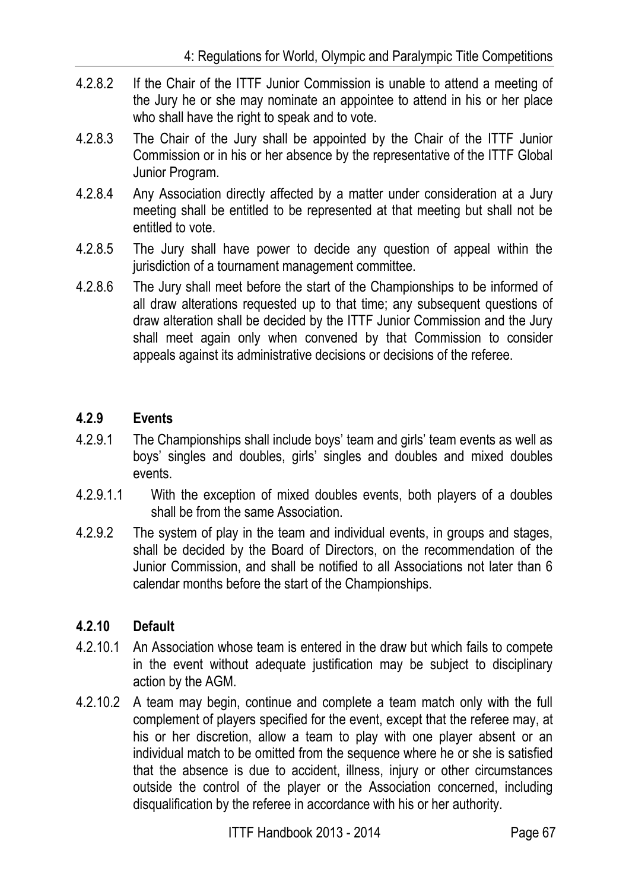- 4.2.8.2 If the Chair of the ITTF Junior Commission is unable to attend a meeting of the Jury he or she may nominate an appointee to attend in his or her place who shall have the right to speak and to vote.
- 4.2.8.3 The Chair of the Jury shall be appointed by the Chair of the ITTF Junior Commission or in his or her absence by the representative of the ITTF Global Junior Program.
- 4.2.8.4 Any Association directly affected by a matter under consideration at a Jury meeting shall be entitled to be represented at that meeting but shall not be entitled to vote.
- 4.2.8.5 The Jury shall have power to decide any question of appeal within the jurisdiction of a tournament management committee.
- 4.2.8.6 The Jury shall meet before the start of the Championships to be informed of all draw alterations requested up to that time; any subsequent questions of draw alteration shall be decided by the ITTF Junior Commission and the Jury shall meet again only when convened by that Commission to consider appeals against its administrative decisions or decisions of the referee.

# **4.2.9 Events**

- 4.2.9.1 The Championships shall include boys' team and girls' team events as well as boys' singles and doubles, girls' singles and doubles and mixed doubles events.
- 4.2.9.1.1 With the exception of mixed doubles events, both players of a doubles shall be from the same Association.
- 4.2.9.2 The system of play in the team and individual events, in groups and stages, shall be decided by the Board of Directors, on the recommendation of the Junior Commission, and shall be notified to all Associations not later than 6 calendar months before the start of the Championships.

# **4.2.10 Default**

- 4.2.10.1 An Association whose team is entered in the draw but which fails to compete in the event without adequate justification may be subject to disciplinary action by the AGM.
- 4.2.10.2 A team may begin, continue and complete a team match only with the full complement of players specified for the event, except that the referee may, at his or her discretion, allow a team to play with one player absent or an individual match to be omitted from the sequence where he or she is satisfied that the absence is due to accident, illness, injury or other circumstances outside the control of the player or the Association concerned, including disqualification by the referee in accordance with his or her authority.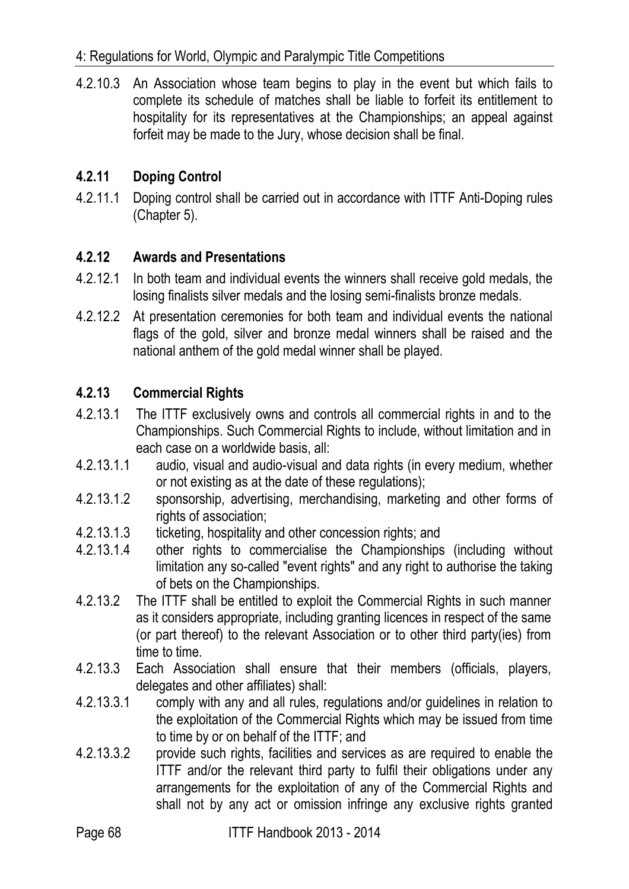4.2.10.3 An Association whose team begins to play in the event but which fails to complete its schedule of matches shall be liable to forfeit its entitlement to hospitality for its representatives at the Championships; an appeal against forfeit may be made to the Jury, whose decision shall be final.

## **4.2.11 Doping Control**

4.2.11.1 Doping control shall be carried out in accordance with ITTF Anti-Doping rules (Chapter 5).

## **4.2.12 Awards and Presentations**

- 4.2.12.1 In both team and individual events the winners shall receive gold medals, the losing finalists silver medals and the losing semi-finalists bronze medals.
- 4.2.12.2 At presentation ceremonies for both team and individual events the national flags of the gold, silver and bronze medal winners shall be raised and the national anthem of the gold medal winner shall be played.

## **4.2.13 Commercial Rights**

- 4.2.13.1 The ITTF exclusively owns and controls all commercial rights in and to the Championships. Such Commercial Rights to include, without limitation and in each case on a worldwide basis, all:
- 4.2.13.1.1 audio, visual and audio-visual and data rights (in every medium, whether or not existing as at the date of these regulations);
- 4.2.13.1.2 sponsorship, advertising, merchandising, marketing and other forms of rights of association;
- 4.2.13.1.3 ticketing, hospitality and other concession rights; and
- 4.2.13.1.4 other rights to commercialise the Championships (including without limitation any so-called "event rights" and any right to authorise the taking of bets on the Championships.
- 4.2.13.2 The ITTF shall be entitled to exploit the Commercial Rights in such manner as it considers appropriate, including granting licences in respect of the same (or part thereof) to the relevant Association or to other third party(ies) from time to time.
- 4.2.13.3 Each Association shall ensure that their members (officials, players, delegates and other affiliates) shall:
- 4.2.13.3.1 comply with any and all rules, regulations and/or guidelines in relation to the exploitation of the Commercial Rights which may be issued from time to time by or on behalf of the ITTF; and
- 4.2.13.3.2 provide such rights, facilities and services as are required to enable the ITTF and/or the relevant third party to fulfil their obligations under any arrangements for the exploitation of any of the Commercial Rights and shall not by any act or omission infringe any exclusive rights granted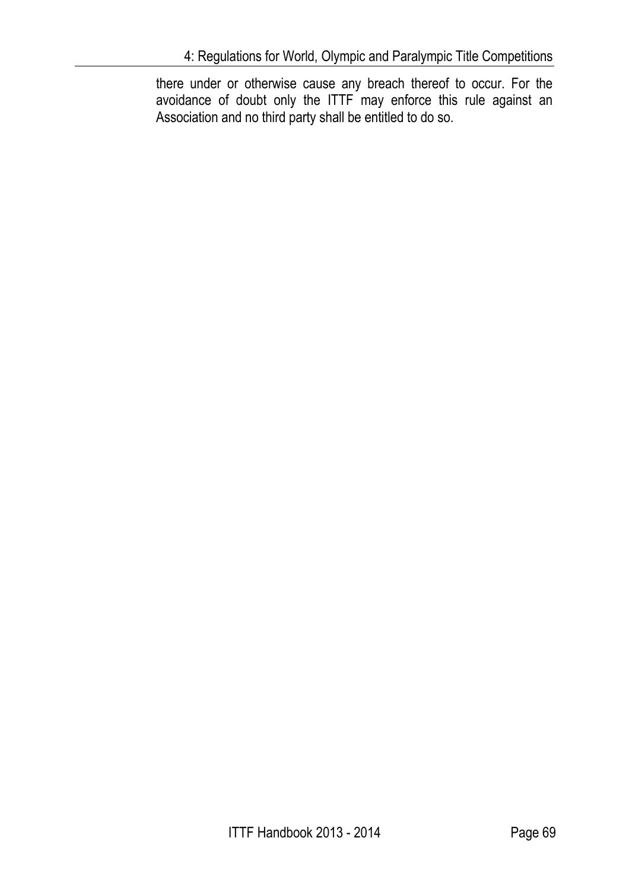there under or otherwise cause any breach thereof to occur. For the avoidance of doubt only the ITTF may enforce this rule against an Association and no third party shall be entitled to do so.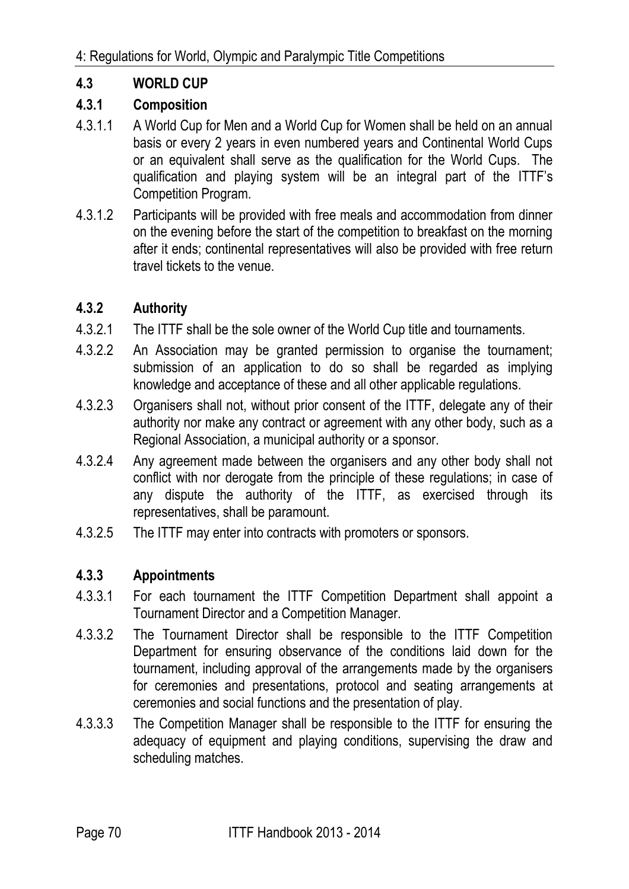# **4.3 WORLD CUP**

# **4.3.1 Composition**

- 4.3.1.1 A World Cup for Men and a World Cup for Women shall be held on an annual basis or every 2 years in even numbered years and Continental World Cups or an equivalent shall serve as the qualification for the World Cups. The qualification and playing system will be an integral part of the ITTF's Competition Program.
- 4.3.1.2 Participants will be provided with free meals and accommodation from dinner on the evening before the start of the competition to breakfast on the morning after it ends; continental representatives will also be provided with free return travel tickets to the venue.

# **4.3.2 Authority**

- 4.3.2.1 The ITTF shall be the sole owner of the World Cup title and tournaments.
- 4.3.2.2 An Association may be granted permission to organise the tournament; submission of an application to do so shall be regarded as implying knowledge and acceptance of these and all other applicable regulations.
- 4.3.2.3 Organisers shall not, without prior consent of the ITTF, delegate any of their authority nor make any contract or agreement with any other body, such as a Regional Association, a municipal authority or a sponsor.
- 4.3.2.4 Any agreement made between the organisers and any other body shall not conflict with nor derogate from the principle of these regulations; in case of any dispute the authority of the ITTF, as exercised through its representatives, shall be paramount.
- 4.3.2.5 The ITTF may enter into contracts with promoters or sponsors.

# **4.3.3 Appointments**

- 4.3.3.1 For each tournament the ITTF Competition Department shall appoint a Tournament Director and a Competition Manager.
- 4.3.3.2 The Tournament Director shall be responsible to the ITTF Competition Department for ensuring observance of the conditions laid down for the tournament, including approval of the arrangements made by the organisers for ceremonies and presentations, protocol and seating arrangements at ceremonies and social functions and the presentation of play.
- 4.3.3.3 The Competition Manager shall be responsible to the ITTF for ensuring the adequacy of equipment and playing conditions, supervising the draw and scheduling matches.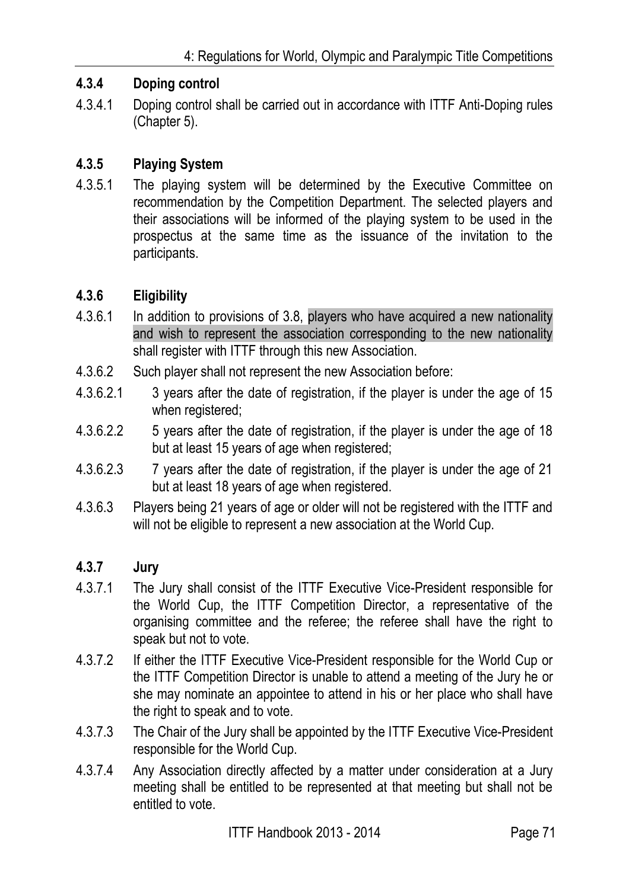## **4.3.4 Doping control**

4.3.4.1 Doping control shall be carried out in accordance with ITTF Anti-Doping rules (Chapter 5).

## **4.3.5 Playing System**

4.3.5.1 The playing system will be determined by the Executive Committee on recommendation by the Competition Department. The selected players and their associations will be informed of the playing system to be used in the prospectus at the same time as the issuance of the invitation to the participants.

#### **4.3.6 Eligibility**

- 4.3.6.1 In addition to provisions of 3.8, players who have acquired a new nationality and wish to represent the association corresponding to the new nationality shall register with ITTF through this new Association.
- 4.3.6.2 Such player shall not represent the new Association before:
- 4.3.6.2.1 3 years after the date of registration, if the player is under the age of 15 when registered;
- 4.3.6.2.2 5 years after the date of registration, if the player is under the age of 18 but at least 15 years of age when registered;
- 4.3.6.2.3 7 years after the date of registration, if the player is under the age of 21 but at least 18 years of age when registered.
- 4.3.6.3 Players being 21 years of age or older will not be registered with the ITTF and will not be eligible to represent a new association at the World Cup.

#### **4.3.7 Jury**

- 4.3.7.1 The Jury shall consist of the ITTF Executive Vice-President responsible for the World Cup, the ITTF Competition Director, a representative of the organising committee and the referee; the referee shall have the right to speak but not to vote.
- 4.3.7.2 If either the ITTF Executive Vice-President responsible for the World Cup or the ITTF Competition Director is unable to attend a meeting of the Jury he or she may nominate an appointee to attend in his or her place who shall have the right to speak and to vote.
- 4.3.7.3 The Chair of the Jury shall be appointed by the ITTF Executive Vice-President responsible for the World Cup.
- 4.3.7.4 Any Association directly affected by a matter under consideration at a Jury meeting shall be entitled to be represented at that meeting but shall not be entitled to vote.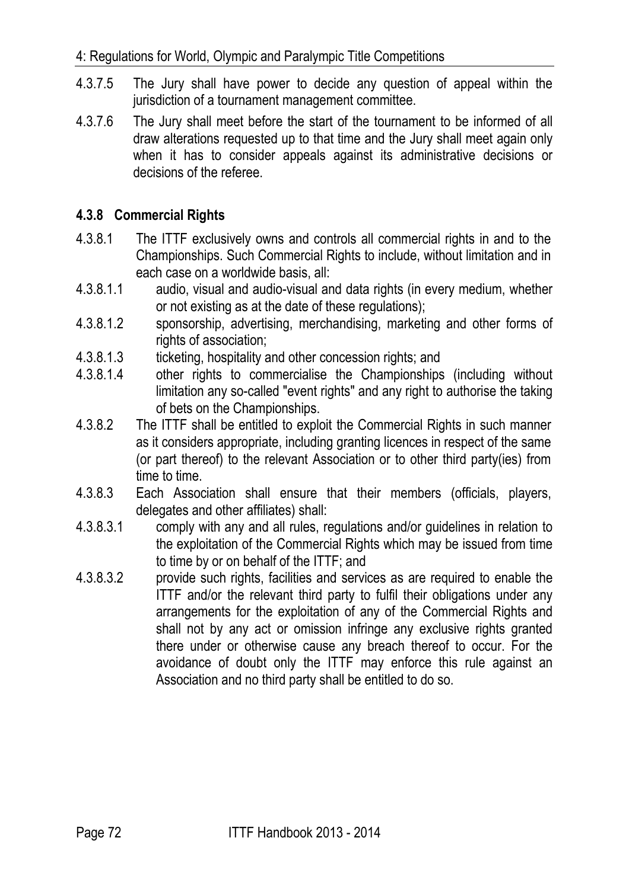- 4.3.7.5 The Jury shall have power to decide any question of appeal within the jurisdiction of a tournament management committee.
- 4.3.7.6 The Jury shall meet before the start of the tournament to be informed of all draw alterations requested up to that time and the Jury shall meet again only when it has to consider appeals against its administrative decisions or decisions of the referee.

## **4.3.8 Commercial Rights**

- 4.3.8.1 The ITTF exclusively owns and controls all commercial rights in and to the Championships. Such Commercial Rights to include, without limitation and in each case on a worldwide basis, all:
- 4.3.8.1.1 audio, visual and audio-visual and data rights (in every medium, whether or not existing as at the date of these regulations);
- 4.3.8.1.2 sponsorship, advertising, merchandising, marketing and other forms of rights of association;
- 4.3.8.1.3 ticketing, hospitality and other concession rights; and
- 4.3.8.1.4 other rights to commercialise the Championships (including without limitation any so-called "event rights" and any right to authorise the taking of bets on the Championships.
- 4.3.8.2 The ITTF shall be entitled to exploit the Commercial Rights in such manner as it considers appropriate, including granting licences in respect of the same (or part thereof) to the relevant Association or to other third party(ies) from time to time.
- 4.3.8.3 Each Association shall ensure that their members (officials, players, delegates and other affiliates) shall:
- 4.3.8.3.1 comply with any and all rules, regulations and/or guidelines in relation to the exploitation of the Commercial Rights which may be issued from time to time by or on behalf of the ITTF; and
- 4.3.8.3.2 provide such rights, facilities and services as are required to enable the ITTF and/or the relevant third party to fulfil their obligations under any arrangements for the exploitation of any of the Commercial Rights and shall not by any act or omission infringe any exclusive rights granted there under or otherwise cause any breach thereof to occur. For the avoidance of doubt only the ITTF may enforce this rule against an Association and no third party shall be entitled to do so.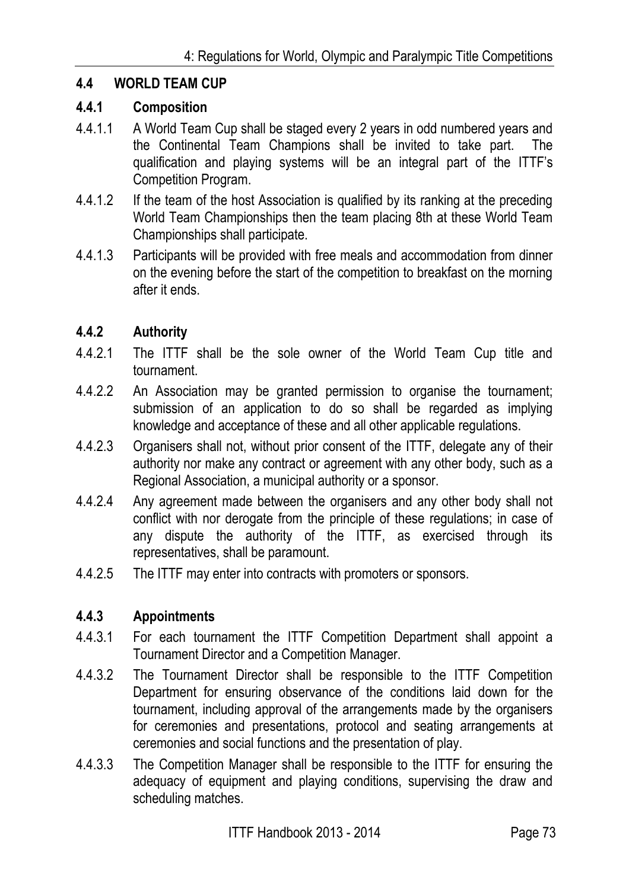## **4.4 WORLD TEAM CUP**

#### **4.4.1 Composition**

- 4.4.1.1 A World Team Cup shall be staged every 2 years in odd numbered years and the Continental Team Champions shall be invited to take part. The qualification and playing systems will be an integral part of the ITTF's Competition Program.
- 4.4.1.2 If the team of the host Association is qualified by its ranking at the preceding World Team Championships then the team placing 8th at these World Team Championships shall participate.
- 4.4.1.3 Participants will be provided with free meals and accommodation from dinner on the evening before the start of the competition to breakfast on the morning after it ends.

## **4.4.2 Authority**

- 4.4.2.1 The ITTF shall be the sole owner of the World Team Cup title and tournament.
- 4.4.2.2 An Association may be granted permission to organise the tournament; submission of an application to do so shall be regarded as implying knowledge and acceptance of these and all other applicable regulations.
- 4.4.2.3 Organisers shall not, without prior consent of the ITTF, delegate any of their authority nor make any contract or agreement with any other body, such as a Regional Association, a municipal authority or a sponsor.
- 4.4.2.4 Any agreement made between the organisers and any other body shall not conflict with nor derogate from the principle of these regulations; in case of any dispute the authority of the ITTF, as exercised through its representatives, shall be paramount.
- 4.4.2.5 The ITTF may enter into contracts with promoters or sponsors.

## **4.4.3 Appointments**

- 4.4.3.1 For each tournament the ITTF Competition Department shall appoint a Tournament Director and a Competition Manager.
- 4.4.3.2 The Tournament Director shall be responsible to the ITTF Competition Department for ensuring observance of the conditions laid down for the tournament, including approval of the arrangements made by the organisers for ceremonies and presentations, protocol and seating arrangements at ceremonies and social functions and the presentation of play.
- 4.4.3.3 The Competition Manager shall be responsible to the ITTF for ensuring the adequacy of equipment and playing conditions, supervising the draw and scheduling matches.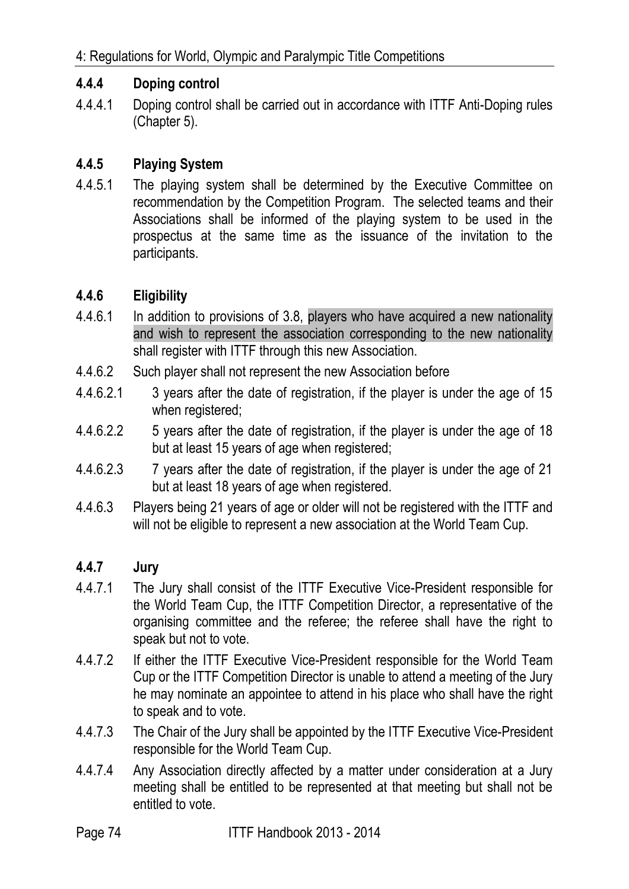## **4.4.4 Doping control**

4.4.4.1 Doping control shall be carried out in accordance with ITTF Anti-Doping rules (Chapter 5).

## **4.4.5 Playing System**

4.4.5.1 The playing system shall be determined by the Executive Committee on recommendation by the Competition Program. The selected teams and their Associations shall be informed of the playing system to be used in the prospectus at the same time as the issuance of the invitation to the participants.

## **4.4.6 Eligibility**

- 4.4.6.1 In addition to provisions of 3.8, players who have acquired a new nationality and wish to represent the association corresponding to the new nationality shall register with ITTF through this new Association.
- 4.4.6.2 Such player shall not represent the new Association before
- 4.4.6.2.1 3 years after the date of registration, if the player is under the age of 15 when registered;
- 4.4.6.2.2 5 years after the date of registration, if the player is under the age of 18 but at least 15 years of age when registered;
- 4.4.6.2.3 7 years after the date of registration, if the player is under the age of 21 but at least 18 years of age when registered.
- 4.4.6.3 Players being 21 years of age or older will not be registered with the ITTF and will not be eligible to represent a new association at the World Team Cup.

## **4.4.7 Jury**

- 4.4.7.1 The Jury shall consist of the ITTF Executive Vice-President responsible for the World Team Cup, the ITTF Competition Director, a representative of the organising committee and the referee; the referee shall have the right to speak but not to vote.
- 4.4.7.2 If either the ITTF Executive Vice-President responsible for the World Team Cup or the ITTF Competition Director is unable to attend a meeting of the Jury he may nominate an appointee to attend in his place who shall have the right to speak and to vote.
- 4.4.7.3 The Chair of the Jury shall be appointed by the ITTF Executive Vice-President responsible for the World Team Cup.
- 4.4.7.4 Any Association directly affected by a matter under consideration at a Jury meeting shall be entitled to be represented at that meeting but shall not be entitled to vote.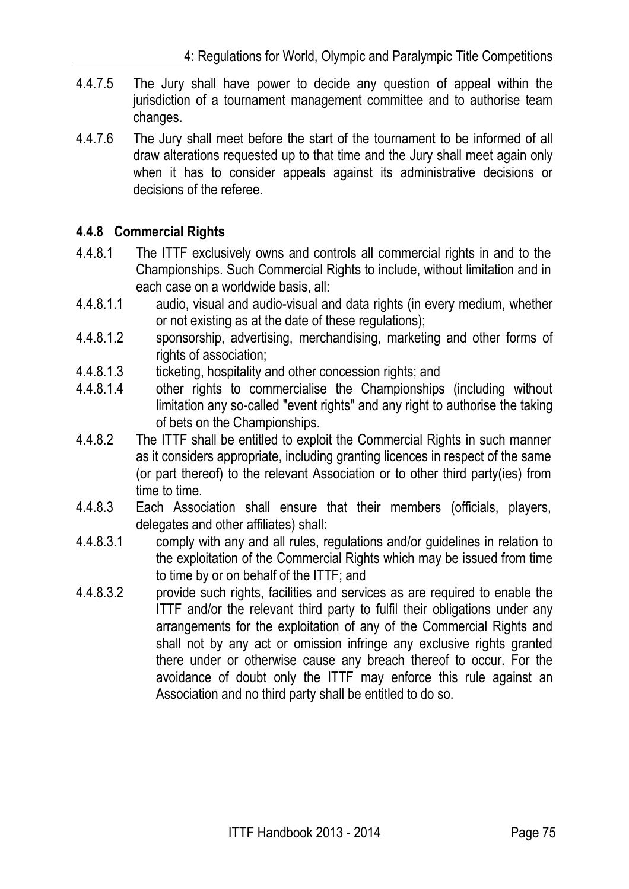- 4.4.7.5 The Jury shall have power to decide any question of appeal within the jurisdiction of a tournament management committee and to authorise team changes.
- 4.4.7.6 The Jury shall meet before the start of the tournament to be informed of all draw alterations requested up to that time and the Jury shall meet again only when it has to consider appeals against its administrative decisions or decisions of the referee.

# **4.4.8 Commercial Rights**

- 4.4.8.1 The ITTF exclusively owns and controls all commercial rights in and to the Championships. Such Commercial Rights to include, without limitation and in each case on a worldwide basis, all:
- 4.4.8.1.1 audio, visual and audio-visual and data rights (in every medium, whether or not existing as at the date of these regulations);
- 4.4.8.1.2 sponsorship, advertising, merchandising, marketing and other forms of rights of association:
- 4.4.8.1.3 ticketing, hospitality and other concession rights; and
- 4.4.8.1.4 other rights to commercialise the Championships (including without limitation any so-called "event rights" and any right to authorise the taking of bets on the Championships.
- 4.4.8.2 The ITTF shall be entitled to exploit the Commercial Rights in such manner as it considers appropriate, including granting licences in respect of the same (or part thereof) to the relevant Association or to other third party(ies) from time to time.
- 4.4.8.3 Each Association shall ensure that their members (officials, players, delegates and other affiliates) shall:
- 4.4.8.3.1 comply with any and all rules, regulations and/or guidelines in relation to the exploitation of the Commercial Rights which may be issued from time to time by or on behalf of the ITTF; and
- 4.4.8.3.2 provide such rights, facilities and services as are required to enable the ITTF and/or the relevant third party to fulfil their obligations under any arrangements for the exploitation of any of the Commercial Rights and shall not by any act or omission infringe any exclusive rights granted there under or otherwise cause any breach thereof to occur. For the avoidance of doubt only the ITTF may enforce this rule against an Association and no third party shall be entitled to do so.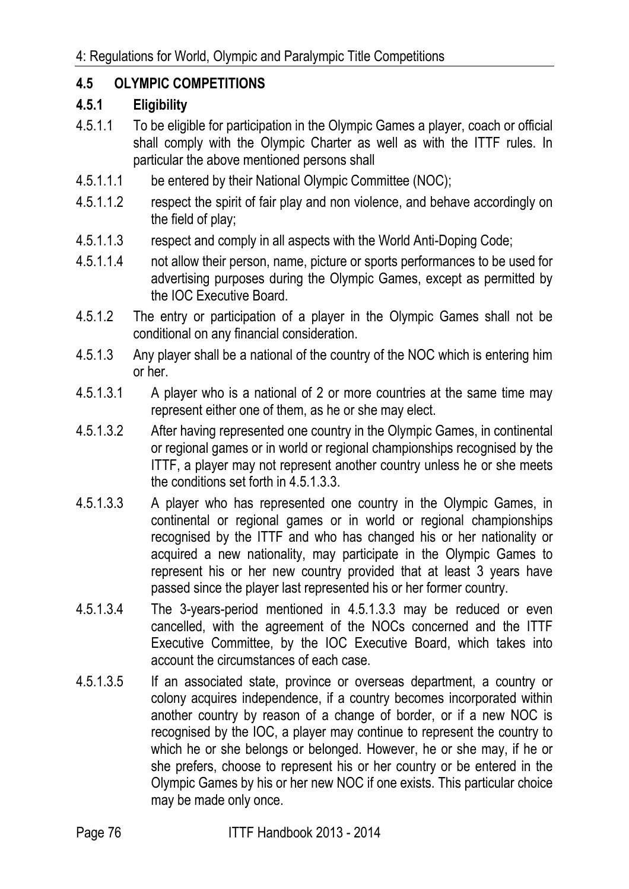## **4.5 OLYMPIC COMPETITIONS**

## **4.5.1 Eligibility**

- 4.5.1.1 To be eligible for participation in the Olympic Games a player, coach or official shall comply with the Olympic Charter as well as with the ITTF rules. In particular the above mentioned persons shall
- 4.5.1.1.1 be entered by their National Olympic Committee (NOC);
- 4.5.1.1.2 respect the spirit of fair play and non violence, and behave accordingly on the field of play;
- 4.5.1.1.3 respect and comply in all aspects with the World Anti-Doping Code;
- 4.5.1.1.4 not allow their person, name, picture or sports performances to be used for advertising purposes during the Olympic Games, except as permitted by the IOC Executive Board.
- 4.5.1.2 The entry or participation of a player in the Olympic Games shall not be conditional on any financial consideration.
- 4.5.1.3 Any player shall be a national of the country of the NOC which is entering him or her.
- 4.5.1.3.1 A player who is a national of 2 or more countries at the same time may represent either one of them, as he or she may elect.
- 4.5.1.3.2 After having represented one country in the Olympic Games, in continental or regional games or in world or regional championships recognised by the ITTF, a player may not represent another country unless he or she meets the conditions set forth in 4.5.1.3.3.
- 4.5.1.3.3 A player who has represented one country in the Olympic Games, in continental or regional games or in world or regional championships recognised by the ITTF and who has changed his or her nationality or acquired a new nationality, may participate in the Olympic Games to represent his or her new country provided that at least 3 years have passed since the player last represented his or her former country.
- 4.5.1.3.4 The 3-years-period mentioned in 4.5.1.3.3 may be reduced or even cancelled, with the agreement of the NOCs concerned and the ITTF Executive Committee, by the IOC Executive Board, which takes into account the circumstances of each case.
- 4.5.1.3.5 If an associated state, province or overseas department, a country or colony acquires independence, if a country becomes incorporated within another country by reason of a change of border, or if a new NOC is recognised by the IOC, a player may continue to represent the country to which he or she belongs or belonged. However, he or she may, if he or she prefers, choose to represent his or her country or be entered in the Olympic Games by his or her new NOC if one exists. This particular choice may be made only once.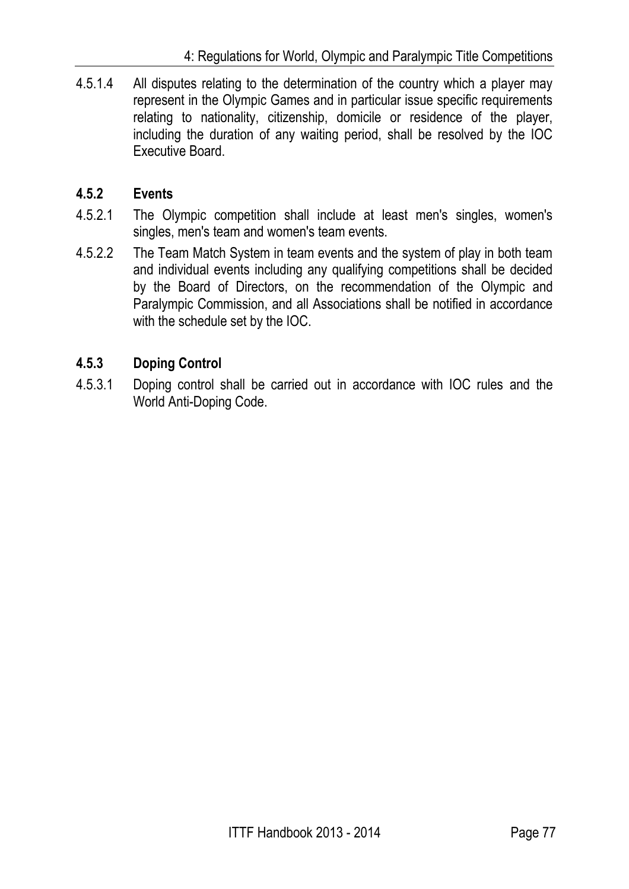4.5.1.4 All disputes relating to the determination of the country which a player may represent in the Olympic Games and in particular issue specific requirements relating to nationality, citizenship, domicile or residence of the player, including the duration of any waiting period, shall be resolved by the IOC Executive Board.

# **4.5.2 Events**

- 4.5.2.1 The Olympic competition shall include at least men's singles, women's singles, men's team and women's team events.
- 4.5.2.2 The Team Match System in team events and the system of play in both team and individual events including any qualifying competitions shall be decided by the Board of Directors, on the recommendation of the Olympic and Paralympic Commission, and all Associations shall be notified in accordance with the schedule set by the IOC.

# **4.5.3 Doping Control**

4.5.3.1 Doping control shall be carried out in accordance with IOC rules and the World Anti-Doping Code.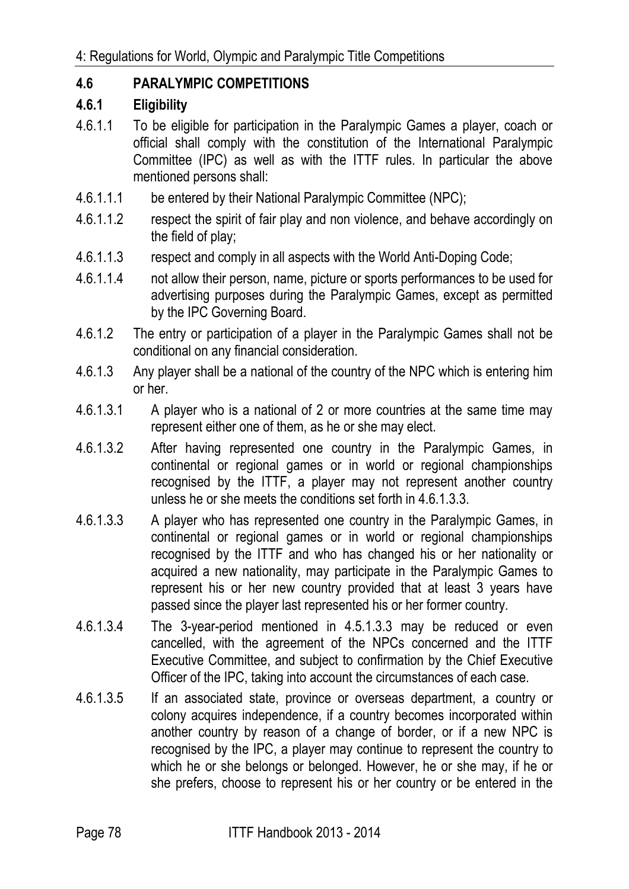# **4.6 PARALYMPIC COMPETITIONS**

## **4.6.1 Eligibility**

- 4.6.1.1 To be eligible for participation in the Paralympic Games a player, coach or official shall comply with the constitution of the International Paralympic Committee (IPC) as well as with the ITTF rules. In particular the above mentioned persons shall:
- 4.6.1.1.1 be entered by their National Paralympic Committee (NPC);
- 4.6.1.1.2 respect the spirit of fair play and non violence, and behave accordingly on the field of play;
- 4.6.1.1.3 respect and comply in all aspects with the World Anti-Doping Code;
- 4.6.1.1.4 not allow their person, name, picture or sports performances to be used for advertising purposes during the Paralympic Games, except as permitted by the IPC Governing Board.
- 4.6.1.2 The entry or participation of a player in the Paralympic Games shall not be conditional on any financial consideration.
- 4.6.1.3 Any player shall be a national of the country of the NPC which is entering him or her.
- 4.6.1.3.1 A player who is a national of 2 or more countries at the same time may represent either one of them, as he or she may elect.
- 4.6.1.3.2 After having represented one country in the Paralympic Games, in continental or regional games or in world or regional championships recognised by the ITTF, a player may not represent another country unless he or she meets the conditions set forth in 4.6.1.3.3.
- 4.6.1.3.3 A player who has represented one country in the Paralympic Games, in continental or regional games or in world or regional championships recognised by the ITTF and who has changed his or her nationality or acquired a new nationality, may participate in the Paralympic Games to represent his or her new country provided that at least 3 years have passed since the player last represented his or her former country.
- 4.6.1.3.4 The 3-year-period mentioned in 4.5.1.3.3 may be reduced or even cancelled, with the agreement of the NPCs concerned and the ITTF Executive Committee, and subject to confirmation by the Chief Executive Officer of the IPC, taking into account the circumstances of each case.
- 4.6.1.3.5 If an associated state, province or overseas department, a country or colony acquires independence, if a country becomes incorporated within another country by reason of a change of border, or if a new NPC is recognised by the IPC, a player may continue to represent the country to which he or she belongs or belonged. However, he or she may, if he or she prefers, choose to represent his or her country or be entered in the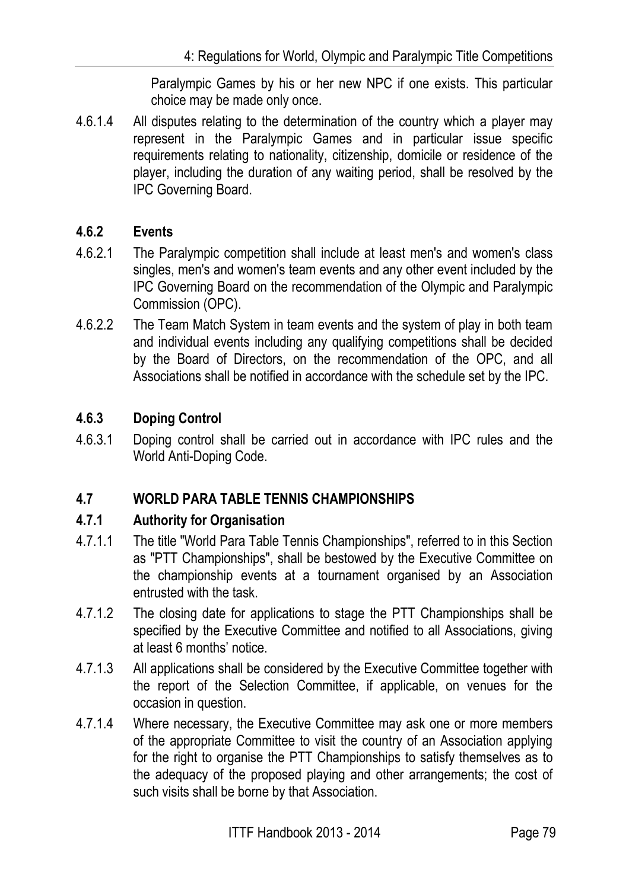Paralympic Games by his or her new NPC if one exists. This particular choice may be made only once.

4.6.1.4 All disputes relating to the determination of the country which a player may represent in the Paralympic Games and in particular issue specific requirements relating to nationality, citizenship, domicile or residence of the player, including the duration of any waiting period, shall be resolved by the IPC Governing Board.

# **4.6.2 Events**

- 4.6.2.1 The Paralympic competition shall include at least men's and women's class singles, men's and women's team events and any other event included by the IPC Governing Board on the recommendation of the Olympic and Paralympic Commission (OPC).
- 4.6.2.2 The Team Match System in team events and the system of play in both team and individual events including any qualifying competitions shall be decided by the Board of Directors, on the recommendation of the OPC, and all Associations shall be notified in accordance with the schedule set by the IPC.

# **4.6.3 Doping Control**

4.6.3.1 Doping control shall be carried out in accordance with IPC rules and the World Anti-Doping Code.

# **4.7 WORLD PARA TABLE TENNIS CHAMPIONSHIPS**

# **4.7.1 Authority for Organisation**

- 4.7.1.1 The title "World Para Table Tennis Championships", referred to in this Section as "PTT Championships", shall be bestowed by the Executive Committee on the championship events at a tournament organised by an Association entrusted with the task.
- 4.7.1.2 The closing date for applications to stage the PTT Championships shall be specified by the Executive Committee and notified to all Associations, giving at least 6 months' notice.
- 4.7.1.3 All applications shall be considered by the Executive Committee together with the report of the Selection Committee, if applicable, on venues for the occasion in question.
- 4.7.1.4 Where necessary, the Executive Committee may ask one or more members of the appropriate Committee to visit the country of an Association applying for the right to organise the PTT Championships to satisfy themselves as to the adequacy of the proposed playing and other arrangements; the cost of such visits shall be borne by that Association.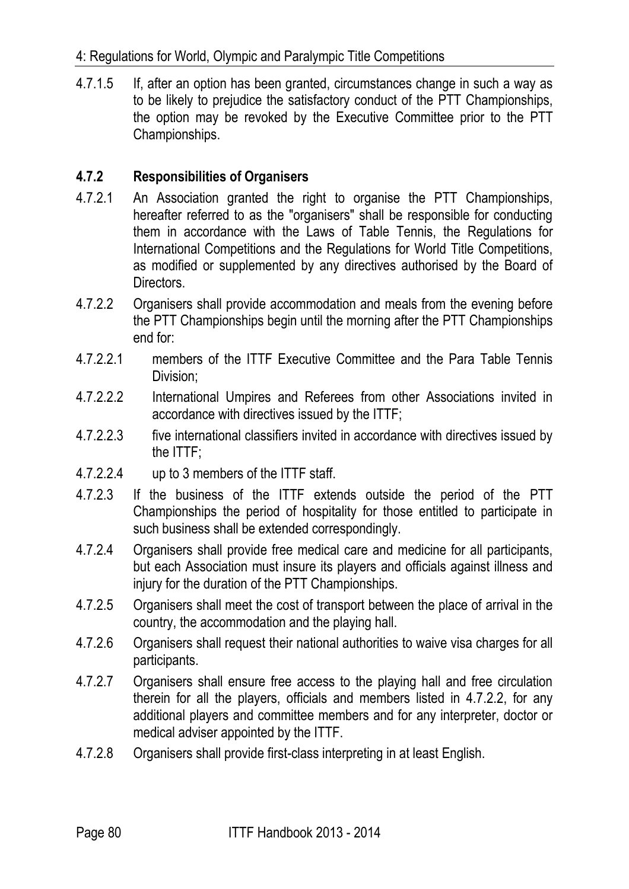4.7.1.5 If, after an option has been granted, circumstances change in such a way as to be likely to prejudice the satisfactory conduct of the PTT Championships, the option may be revoked by the Executive Committee prior to the PTT Championships.

# **4.7.2 Responsibilities of Organisers**

- 4.7.2.1 An Association granted the right to organise the PTT Championships, hereafter referred to as the "organisers" shall be responsible for conducting them in accordance with the Laws of Table Tennis, the Regulations for International Competitions and the Regulations for World Title Competitions, as modified or supplemented by any directives authorised by the Board of Directors.
- 4.7.2.2 Organisers shall provide accommodation and meals from the evening before the PTT Championships begin until the morning after the PTT Championships end for:
- 4.7.2.2.1 members of the ITTF Executive Committee and the Para Table Tennis Division;
- 4.7.2.2.2 International Umpires and Referees from other Associations invited in accordance with directives issued by the ITTF;
- 4.7.2.2.3 five international classifiers invited in accordance with directives issued by the ITTF;
- 4.7.2.2.4 up to 3 members of the ITTF staff.
- 4.7.2.3 If the business of the ITTF extends outside the period of the PTT Championships the period of hospitality for those entitled to participate in such business shall be extended correspondingly.
- 4.7.2.4 Organisers shall provide free medical care and medicine for all participants, but each Association must insure its players and officials against illness and injury for the duration of the PTT Championships.
- 4.7.2.5 Organisers shall meet the cost of transport between the place of arrival in the country, the accommodation and the playing hall.
- 4.7.2.6 Organisers shall request their national authorities to waive visa charges for all participants.
- 4.7.2.7 Organisers shall ensure free access to the playing hall and free circulation therein for all the players, officials and members listed in 4.7.2.2, for any additional players and committee members and for any interpreter, doctor or medical adviser appointed by the ITTF.
- 4.7.2.8 Organisers shall provide first-class interpreting in at least English.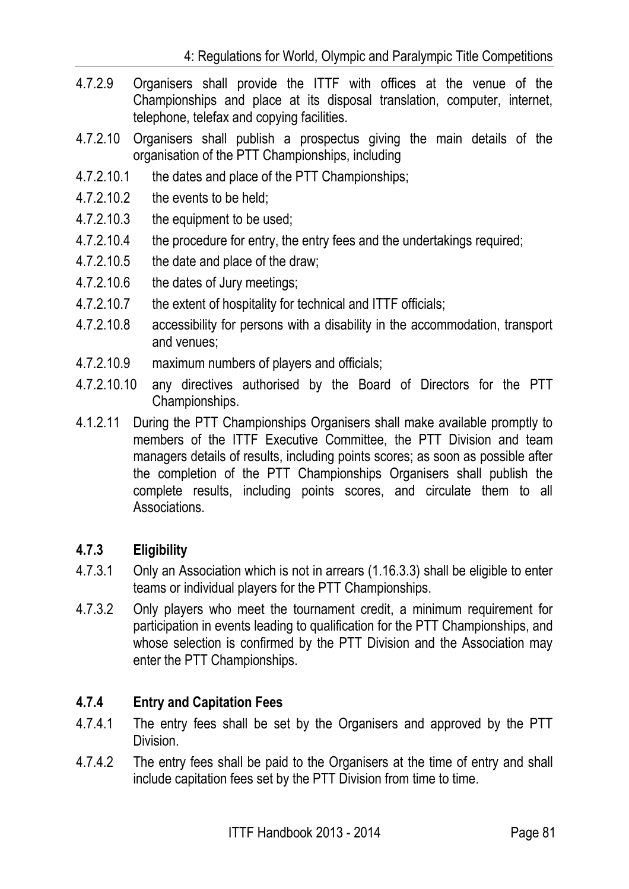- 4.7.2.9 Organisers shall provide the ITTF with offices at the venue of the Championships and place at its disposal translation, computer, internet, telephone, telefax and copying facilities.
- 4.7.2.10 Organisers shall publish a prospectus giving the main details of the organisation of the PTT Championships, including
- 4.7.2.10.1 the dates and place of the PTT Championships;
- 4.7.2.10.2 the events to be held;
- 4.7.2.10.3 the equipment to be used;
- 4.7.2.10.4 the procedure for entry, the entry fees and the undertakings required;
- 4.7.2.10.5 the date and place of the draw;
- 4.7.2.10.6 the dates of Jury meetings;
- 4.7.2.10.7 the extent of hospitality for technical and ITTF officials;
- 4.7.2.10.8 accessibility for persons with a disability in the accommodation, transport and venues;
- 4.7.2.10.9 maximum numbers of players and officials;
- 4.7.2.10.10 any directives authorised by the Board of Directors for the PTT Championships.
- 4.1.2.11 During the PTT Championships Organisers shall make available promptly to members of the ITTF Executive Committee, the PTT Division and team managers details of results, including points scores; as soon as possible after the completion of the PTT Championships Organisers shall publish the complete results, including points scores, and circulate them to all Associations.

# **4.7.3 Eligibility**

- 4.7.3.1 Only an Association which is not in arrears (1.16.3.3) shall be eligible to enter teams or individual players for the PTT Championships.
- 4.7.3.2 Only players who meet the tournament credit, a minimum requirement for participation in events leading to qualification for the PTT Championships, and whose selection is confirmed by the PTT Division and the Association may enter the PTT Championships.

# **4.7.4 Entry and Capitation Fees**

- 4.7.4.1 The entry fees shall be set by the Organisers and approved by the PTT Division.
- 4.7.4.2 The entry fees shall be paid to the Organisers at the time of entry and shall include capitation fees set by the PTT Division from time to time.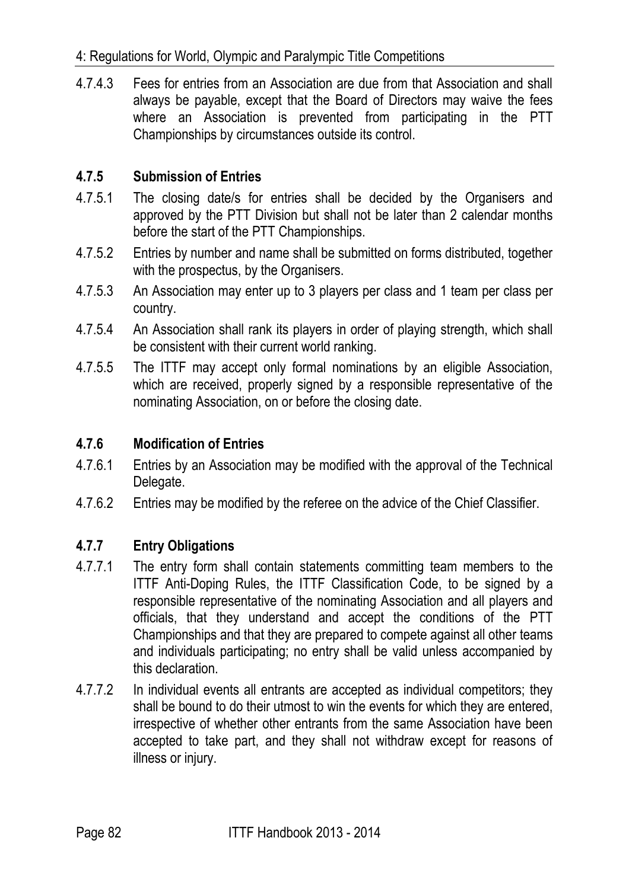4.7.4.3 Fees for entries from an Association are due from that Association and shall always be payable, except that the Board of Directors may waive the fees where an Association is prevented from participating in the PTT Championships by circumstances outside its control.

# **4.7.5 Submission of Entries**

- 4.7.5.1 The closing date/s for entries shall be decided by the Organisers and approved by the PTT Division but shall not be later than 2 calendar months before the start of the PTT Championships.
- 4.7.5.2 Entries by number and name shall be submitted on forms distributed, together with the prospectus, by the Organisers.
- 4.7.5.3 An Association may enter up to 3 players per class and 1 team per class per country.
- 4.7.5.4 An Association shall rank its players in order of playing strength, which shall be consistent with their current world ranking.
- 4.7.5.5 The ITTF may accept only formal nominations by an eligible Association, which are received, properly signed by a responsible representative of the nominating Association, on or before the closing date.

## **4.7.6 Modification of Entries**

- 4.7.6.1 Entries by an Association may be modified with the approval of the Technical Delegate.
- 4.7.6.2 Entries may be modified by the referee on the advice of the Chief Classifier.

# **4.7.7 Entry Obligations**

- 4.7.7.1 The entry form shall contain statements committing team members to the ITTF Anti-Doping Rules, the ITTF Classification Code, to be signed by a responsible representative of the nominating Association and all players and officials, that they understand and accept the conditions of the PTT Championships and that they are prepared to compete against all other teams and individuals participating; no entry shall be valid unless accompanied by this declaration.
- 4.7.7.2 In individual events all entrants are accepted as individual competitors; they shall be bound to do their utmost to win the events for which they are entered, irrespective of whether other entrants from the same Association have been accepted to take part, and they shall not withdraw except for reasons of illness or injury.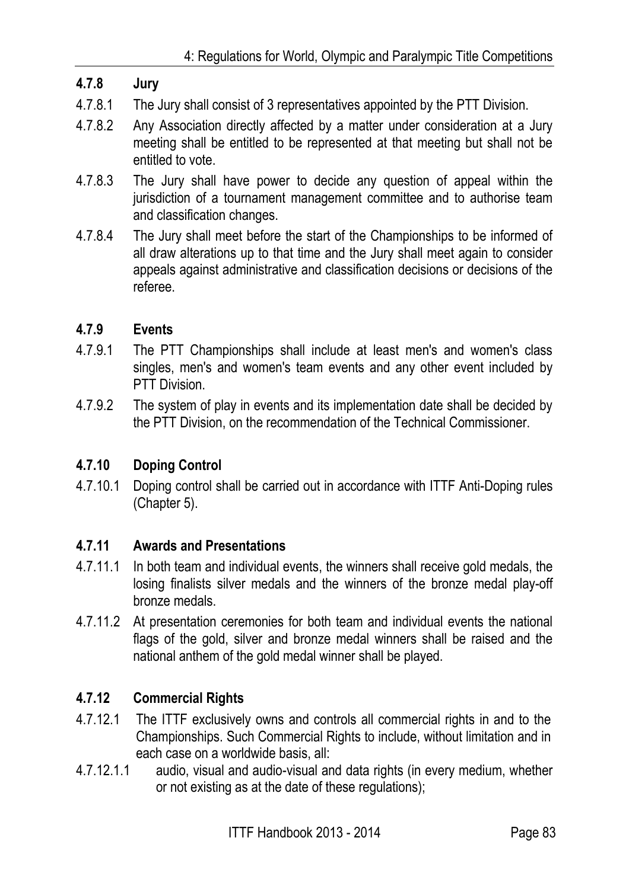# **4.7.8 Jury**

- 4.7.8.1 The Jury shall consist of 3 representatives appointed by the PTT Division.
- 4.7.8.2 Any Association directly affected by a matter under consideration at a Jury meeting shall be entitled to be represented at that meeting but shall not be entitled to vote.
- 4.7.8.3 The Jury shall have power to decide any question of appeal within the jurisdiction of a tournament management committee and to authorise team and classification changes.
- 4.7.8.4 The Jury shall meet before the start of the Championships to be informed of all draw alterations up to that time and the Jury shall meet again to consider appeals against administrative and classification decisions or decisions of the referee.

## **4.7.9 Events**

- 4.7.9.1 The PTT Championships shall include at least men's and women's class singles, men's and women's team events and any other event included by PTT Division.
- 4.7.9.2 The system of play in events and its implementation date shall be decided by the PTT Division, on the recommendation of the Technical Commissioner.

# **4.7.10 Doping Control**

4.7.10.1 Doping control shall be carried out in accordance with ITTF Anti-Doping rules (Chapter 5).

## **4.7.11 Awards and Presentations**

- 4.7.11.1 In both team and individual events, the winners shall receive gold medals, the losing finalists silver medals and the winners of the bronze medal play-off bronze medals.
- 4.7.11.2 At presentation ceremonies for both team and individual events the national flags of the gold, silver and bronze medal winners shall be raised and the national anthem of the gold medal winner shall be played.

# **4.7.12 Commercial Rights**

- 4.7.12.1 The ITTF exclusively owns and controls all commercial rights in and to the Championships. Such Commercial Rights to include, without limitation and in each case on a worldwide basis, all:
- 4.7.12.1.1 audio, visual and audio-visual and data rights (in every medium, whether or not existing as at the date of these regulations);